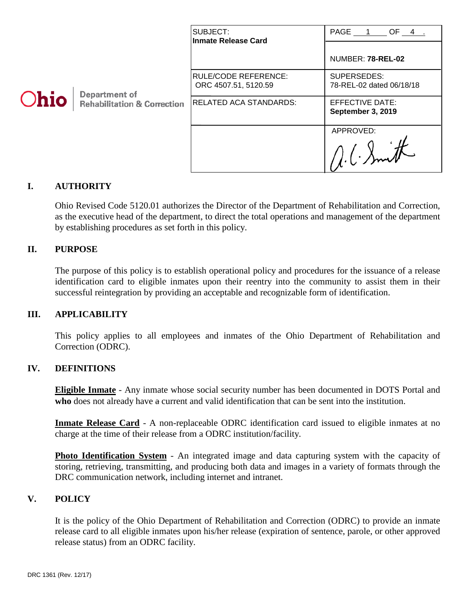| <b>Ohio</b> | Department of<br><b>Rehabilitation &amp; Correction</b> | SUBJECT:<br><b>Inmate Release Card</b>              | PAGE 1 OF 4 .<br>NUMBER: 78-REL-02      |
|-------------|---------------------------------------------------------|-----------------------------------------------------|-----------------------------------------|
|             |                                                         | <b>RULE/CODE REFERENCE:</b><br>ORC 4507.51, 5120.59 | SUPERSEDES:<br>78-REL-02 dated 06/18/18 |
|             |                                                         | <b>RELATED ACA STANDARDS:</b>                       | EFFECTIVE DATE:<br>September 3, 2019    |
|             |                                                         |                                                     | APPROVED:                               |

### **I. AUTHORITY**

Ohio Revised Code 5120.01 authorizes the Director of the Department of Rehabilitation and Correction, as the executive head of the department, to direct the total operations and management of the department by establishing procedures as set forth in this policy.

### **II. PURPOSE**

The purpose of this policy is to establish operational policy and procedures for the issuance of a release identification card to eligible inmates upon their reentry into the community to assist them in their successful reintegration by providing an acceptable and recognizable form of identification.

### **III. APPLICABILITY**

This policy applies to all employees and inmates of the Ohio Department of Rehabilitation and Correction (ODRC).

### **IV. DEFINITIONS**

**Eligible Inmate** - Any inmate whose social security number has been documented in DOTS Portal and **who** does not already have a current and valid identification that can be sent into the institution.

**Inmate Release Card** - A non-replaceable ODRC identification card issued to eligible inmates at no charge at the time of their release from a ODRC institution/facility.

**Photo Identification System** - An integrated image and data capturing system with the capacity of storing, retrieving, transmitting, and producing both data and images in a variety of formats through the DRC communication network, including internet and intranet.

### **V. POLICY**

It is the policy of the Ohio Department of Rehabilitation and Correction (ODRC) to provide an inmate release card to all eligible inmates upon his/her release (expiration of sentence, parole, or other approved release status) from an ODRC facility.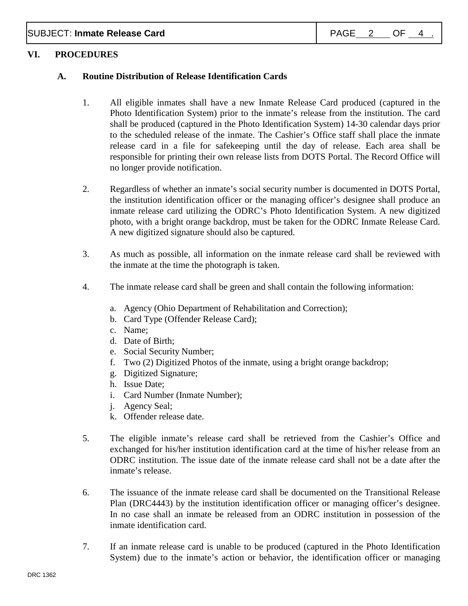SUBJECT: **Inmate Release Card** PAGE 2 OF 4

### **VI. PROCEDURES**

### **A. Routine Distribution of Release Identification Cards**

- 1. All eligible inmates shall have a new Inmate Release Card produced (captured in the Photo Identification System) prior to the inmate's release from the institution. The card shall be produced (captured in the Photo Identification System) 14-30 calendar days prior to the scheduled release of the inmate. The Cashier's Office staff shall place the inmate release card in a file for safekeeping until the day of release. Each area shall be responsible for printing their own release lists from DOTS Portal. The Record Office will no longer provide notification.
- 2. Regardless of whether an inmate's social security number is documented in DOTS Portal, the institution identification officer or the managing officer's designee shall produce an inmate release card utilizing the ODRC's Photo Identification System. A new digitized photo, with a bright orange backdrop, must be taken for the ODRC Inmate Release Card. A new digitized signature should also be captured.
- 3. As much as possible, all information on the inmate release card shall be reviewed with the inmate at the time the photograph is taken.
- 4. The inmate release card shall be green and shall contain the following information:
	- a. Agency (Ohio Department of Rehabilitation and Correction);
	- b. Card Type (Offender Release Card);
	- c. Name;
	- d. Date of Birth;
	- e. Social Security Number;
	- f. Two (2) Digitized Photos of the inmate, using a bright orange backdrop;
	- g. Digitized Signature;
	- h. Issue Date;
	- i. Card Number (Inmate Number);
	- j. Agency Seal;
	- k. Offender release date.
- 5. The eligible inmate's release card shall be retrieved from the Cashier's Office and exchanged for his/her institution identification card at the time of his/her release from an ODRC institution. The issue date of the inmate release card shall not be a date after the inmate's release.
- 6. The issuance of the inmate release card shall be documented on the Transitional Release Plan (DRC4443) by the institution identification officer or managing officer's designee. In no case shall an inmate be released from an ODRC institution in possession of the inmate identification card.
- 7. If an inmate release card is unable to be produced (captured in the Photo Identification System) due to the inmate's action or behavior, the identification officer or managing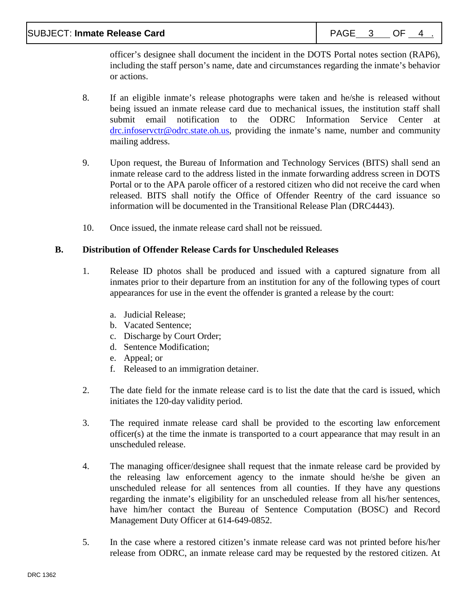officer's designee shall document the incident in the DOTS Portal notes section (RAP6), including the staff person's name, date and circumstances regarding the inmate's behavior or actions.

- 8. If an eligible inmate's release photographs were taken and he/she is released without being issued an inmate release card due to mechanical issues, the institution staff shall submit email notification to the ODRC Information Service Center at [drc.infoservctr@odrc.state.oh.us,](mailto:drc.infoservctr@odrc.state.oh.us) providing the inmate's name, number and community mailing address.
- 9. Upon request, the Bureau of Information and Technology Services (BITS) shall send an inmate release card to the address listed in the inmate forwarding address screen in DOTS Portal or to the APA parole officer of a restored citizen who did not receive the card when released. BITS shall notify the Office of Offender Reentry of the card issuance so information will be documented in the Transitional Release Plan (DRC4443).
- 10. Once issued, the inmate release card shall not be reissued.

# **B. Distribution of Offender Release Cards for Unscheduled Releases**

- 1. Release ID photos shall be produced and issued with a captured signature from all inmates prior to their departure from an institution for any of the following types of court appearances for use in the event the offender is granted a release by the court:
	- a. Judicial Release;
	- b. Vacated Sentence;
	- c. Discharge by Court Order;
	- d. Sentence Modification;
	- e. Appeal; or
	- f. Released to an immigration detainer.
- 2. The date field for the inmate release card is to list the date that the card is issued, which initiates the 120-day validity period.
- 3. The required inmate release card shall be provided to the escorting law enforcement officer(s) at the time the inmate is transported to a court appearance that may result in an unscheduled release.
- 4. The managing officer/designee shall request that the inmate release card be provided by the releasing law enforcement agency to the inmate should he/she be given an unscheduled release for all sentences from all counties. If they have any questions regarding the inmate's eligibility for an unscheduled release from all his/her sentences, have him/her contact the Bureau of Sentence Computation (BOSC) and Record Management Duty Officer at 614-649-0852.
- 5. In the case where a restored citizen's inmate release card was not printed before his/her release from ODRC, an inmate release card may be requested by the restored citizen. At